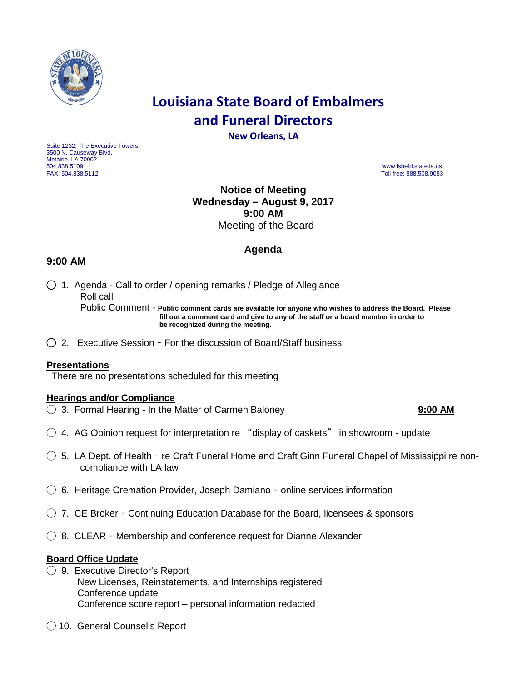

# **Louisiana State Board of Embalmers and Funeral Directors**

**New Orleans, LA**

Suite 1232, The Executive Towers 3500 N. Causeway Blvd. Metairie, LA 70002<br>504.838.5109 504.838.5109 www.lsbefd.state.la.us

Toll free: 888.508.9083

# **Notice of Meeting Wednesday – August 9, 2017 9:00 AM**  Meeting of the Board

# **Agenda**

## **9:00 AM**

◯ 1. Agenda - Call to order / opening remarks / Pledge of Allegiance Roll call Public Comment - **Public comment cards are available for anyone who wishes to address the Board. Please**

 **fill out a comment card and give to any of the staff or a board member in order to be recognized during the meeting.**

◯2. Executive Session – For the discussion of Board/Staff business

### **Presentations**

There are no presentations scheduled for this meeting

#### **Hearings and/or Compliance**

◯ 3. Formal Hearing - In the Matter of Carmen Baloney **9:00 AM**

- ◯ 4. AG Opinion request for interpretation re "display of caskets" in showroom update
- $\bigcirc$  5. LA Dept. of Health re Craft Funeral Home and Craft Ginn Funeral Chapel of Mississippi re noncompliance with LA law
- ◯ 6. Heritage Cremation Provider, Joseph Damiano online services information
- $\bigcirc$  7. CE Broker Continuing Education Database for the Board, licensees & sponsors
- $\bigcirc$  8. CLEAR Membership and conference request for Dianne Alexander

#### **Board Office Update**

- ◯ 9. Executive Director's Report New Licenses, Reinstatements, and Internships registered Conference update Conference score report – personal information redacted
- ◯ 10. General Counsel's Report